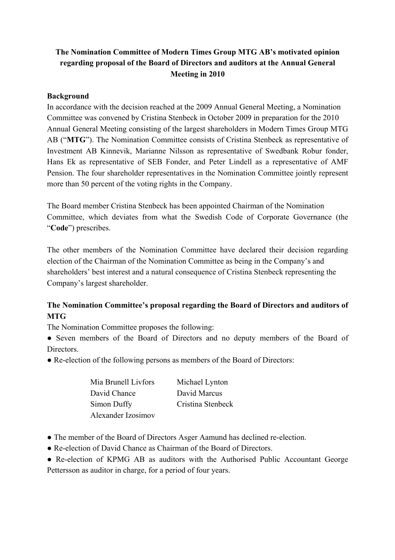## **The Nomination Committee of Modern Times Group MTG AB's motivated opinion regarding proposal of the Board of Directors and auditors at the Annual General Meeting in 2010**

## **Background**

In accordance with the decision reached at the 2009 Annual General Meeting, a Nomination Committee was convened by Cristina Stenbeck in October 2009 in preparation for the 2010 Annual General Meeting consisting of the largest shareholders in Modern Times Group MTG AB ("**MTG**"). The Nomination Committee consists of Cristina Stenbeck as representative of Investment AB Kinnevik, Marianne Nilsson as representative of Swedbank Robur fonder, Hans Ek as representative of SEB Fonder, and Peter Lindell as a representative of AMF Pension. The four shareholder representatives in the Nomination Committee jointly represent more than 50 percent of the voting rights in the Company.

The Board member Cristina Stenbeck has been appointed Chairman of the Nomination Committee, which deviates from what the Swedish Code of Corporate Governance (the "**Code**") prescribes.

The other members of the Nomination Committee have declared their decision regarding election of the Chairman of the Nomination Committee as being in the Company's and shareholders' best interest and a natural consequence of Cristina Stenbeck representing the Company's largest shareholder.

## **The Nomination Committee's proposal regarding the Board of Directors and auditors of MTG**

The Nomination Committee proposes the following:

**●** Seven members of the Board of Directors and no deputy members of the Board of **Directors** 

• Re-election of the following persons as members of the Board of Directors:

| Mia Brunell Livfors | Michael Lynton    |
|---------------------|-------------------|
| David Chance        | David Marcus      |
| Simon Duffy         | Cristina Stenbeck |
| Alexander Izosimov  |                   |

- The member of the Board of Directors Asger Aamund has declined re-election.
- Re-election of David Chance as Chairman of the Board of Directors.

● Re-election of KPMG AB as auditors with the Authorised Public Accountant George Pettersson as auditor in charge, for a period of four years.